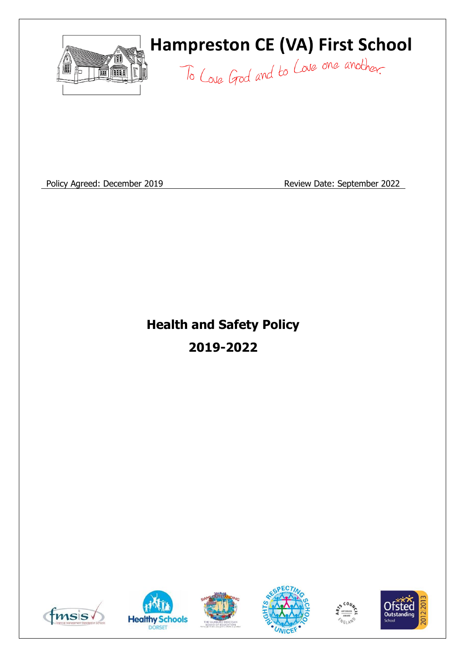

# **Hampreston CE (VA) First School**

To Love God and to Love one another.

Policy Agreed: December 2019 **Review Date: September 2022** 

# **Health and Safety Policy 2019-2022**











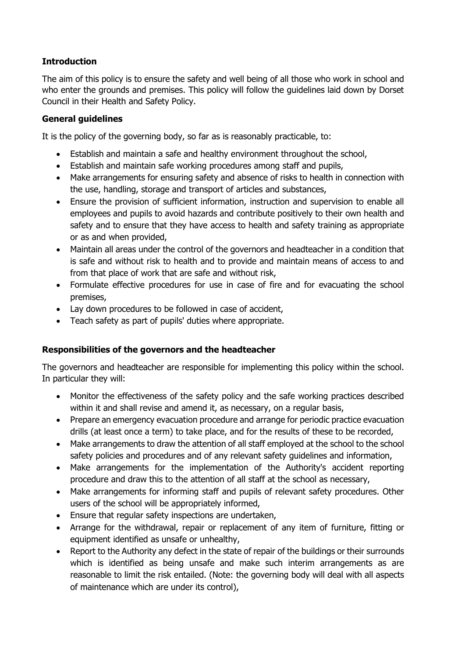# **Introduction**

The aim of this policy is to ensure the safety and well being of all those who work in school and who enter the grounds and premises. This policy will follow the guidelines laid down by Dorset Council in their Health and Safety Policy.

#### **General guidelines**

It is the policy of the governing body, so far as is reasonably practicable, to:

- Establish and maintain a safe and healthy environment throughout the school,
- Establish and maintain safe working procedures among staff and pupils,
- Make arrangements for ensuring safety and absence of risks to health in connection with the use, handling, storage and transport of articles and substances,
- Ensure the provision of sufficient information, instruction and supervision to enable all employees and pupils to avoid hazards and contribute positively to their own health and safety and to ensure that they have access to health and safety training as appropriate or as and when provided,
- Maintain all areas under the control of the governors and headteacher in a condition that is safe and without risk to health and to provide and maintain means of access to and from that place of work that are safe and without risk,
- Formulate effective procedures for use in case of fire and for evacuating the school premises,
- Lay down procedures to be followed in case of accident,
- Teach safety as part of pupils' duties where appropriate.

## **Responsibilities of the governors and the headteacher**

The governors and headteacher are responsible for implementing this policy within the school. In particular they will:

- Monitor the effectiveness of the safety policy and the safe working practices described within it and shall revise and amend it, as necessary, on a regular basis,
- Prepare an emergency evacuation procedure and arrange for periodic practice evacuation drills (at least once a term) to take place, and for the results of these to be recorded,
- Make arrangements to draw the attention of all staff employed at the school to the school safety policies and procedures and of any relevant safety guidelines and information,
- Make arrangements for the implementation of the Authority's accident reporting procedure and draw this to the attention of all staff at the school as necessary,
- Make arrangements for informing staff and pupils of relevant safety procedures. Other users of the school will be appropriately informed,
- Ensure that regular safety inspections are undertaken,
- Arrange for the withdrawal, repair or replacement of any item of furniture, fitting or equipment identified as unsafe or unhealthy,
- Report to the Authority any defect in the state of repair of the buildings or their surrounds which is identified as being unsafe and make such interim arrangements as are reasonable to limit the risk entailed. (Note: the governing body will deal with all aspects of maintenance which are under its control),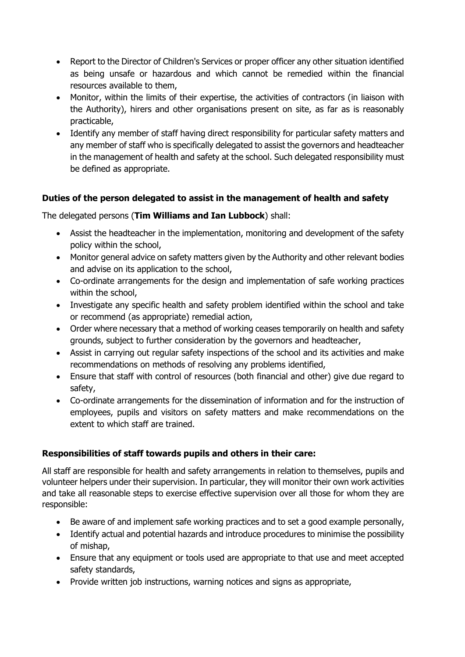- Report to the Director of Children's Services or proper officer any other situation identified as being unsafe or hazardous and which cannot be remedied within the financial resources available to them,
- Monitor, within the limits of their expertise, the activities of contractors (in liaison with the Authority), hirers and other organisations present on site, as far as is reasonably practicable,
- Identify any member of staff having direct responsibility for particular safety matters and any member of staff who is specifically delegated to assist the governors and headteacher in the management of health and safety at the school. Such delegated responsibility must be defined as appropriate.

## **Duties of the person delegated to assist in the management of health and safety**

## The delegated persons (**Tim Williams and Ian Lubbock**) shall:

- Assist the headteacher in the implementation, monitoring and development of the safety policy within the school,
- Monitor general advice on safety matters given by the Authority and other relevant bodies and advise on its application to the school,
- Co-ordinate arrangements for the design and implementation of safe working practices within the school,
- Investigate any specific health and safety problem identified within the school and take or recommend (as appropriate) remedial action,
- Order where necessary that a method of working ceases temporarily on health and safety grounds, subject to further consideration by the governors and headteacher,
- Assist in carrying out regular safety inspections of the school and its activities and make recommendations on methods of resolving any problems identified,
- Ensure that staff with control of resources (both financial and other) give due regard to safety,
- Co-ordinate arrangements for the dissemination of information and for the instruction of employees, pupils and visitors on safety matters and make recommendations on the extent to which staff are trained.

# **Responsibilities of staff towards pupils and others in their care:**

All staff are responsible for health and safety arrangements in relation to themselves, pupils and volunteer helpers under their supervision. In particular, they will monitor their own work activities and take all reasonable steps to exercise effective supervision over all those for whom they are responsible:

- Be aware of and implement safe working practices and to set a good example personally,
- Identify actual and potential hazards and introduce procedures to minimise the possibility of mishap,
- Ensure that any equipment or tools used are appropriate to that use and meet accepted safety standards,
- Provide written job instructions, warning notices and signs as appropriate,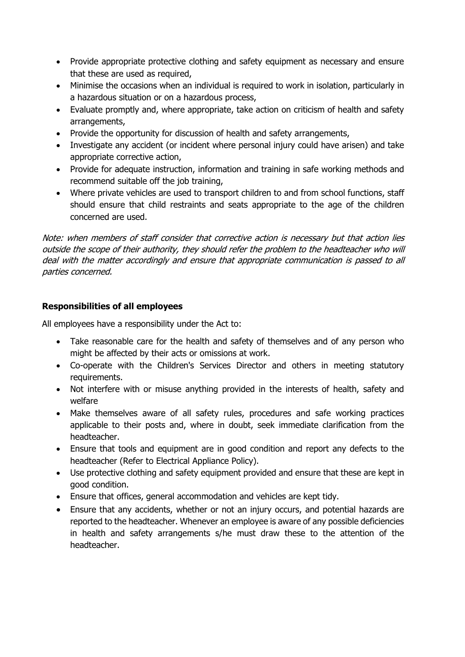- Provide appropriate protective clothing and safety equipment as necessary and ensure that these are used as required,
- Minimise the occasions when an individual is required to work in isolation, particularly in a hazardous situation or on a hazardous process,
- Evaluate promptly and, where appropriate, take action on criticism of health and safety arrangements,
- Provide the opportunity for discussion of health and safety arrangements,
- Investigate any accident (or incident where personal injury could have arisen) and take appropriate corrective action,
- Provide for adequate instruction, information and training in safe working methods and recommend suitable off the job training,
- Where private vehicles are used to transport children to and from school functions, staff should ensure that child restraints and seats appropriate to the age of the children concerned are used.

Note: when members of staff consider that corrective action is necessary but that action lies outside the scope of their authority, they should refer the problem to the headteacher who will deal with the matter accordingly and ensure that appropriate communication is passed to all parties concerned.

## **Responsibilities of all employees**

All employees have a responsibility under the Act to:

- Take reasonable care for the health and safety of themselves and of any person who might be affected by their acts or omissions at work.
- Co-operate with the Children's Services Director and others in meeting statutory requirements.
- Not interfere with or misuse anything provided in the interests of health, safety and welfare
- Make themselves aware of all safety rules, procedures and safe working practices applicable to their posts and, where in doubt, seek immediate clarification from the headteacher.
- Ensure that tools and equipment are in good condition and report any defects to the headteacher (Refer to Electrical Appliance Policy).
- Use protective clothing and safety equipment provided and ensure that these are kept in good condition.
- Ensure that offices, general accommodation and vehicles are kept tidy.
- Ensure that any accidents, whether or not an injury occurs, and potential hazards are reported to the headteacher. Whenever an employee is aware of any possible deficiencies in health and safety arrangements s/he must draw these to the attention of the headteacher.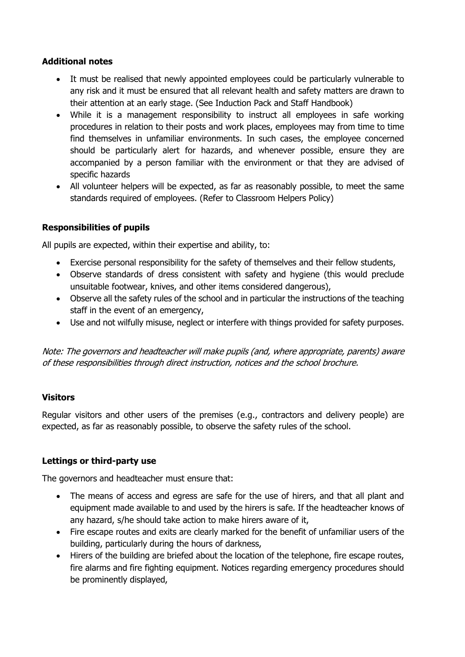#### **Additional notes**

- It must be realised that newly appointed employees could be particularly vulnerable to any risk and it must be ensured that all relevant health and safety matters are drawn to their attention at an early stage. (See Induction Pack and Staff Handbook)
- While it is a management responsibility to instruct all employees in safe working procedures in relation to their posts and work places, employees may from time to time find themselves in unfamiliar environments. In such cases, the employee concerned should be particularly alert for hazards, and whenever possible, ensure they are accompanied by a person familiar with the environment or that they are advised of specific hazards
- All volunteer helpers will be expected, as far as reasonably possible, to meet the same standards required of employees. (Refer to Classroom Helpers Policy)

## **Responsibilities of pupils**

All pupils are expected, within their expertise and ability, to:

- Exercise personal responsibility for the safety of themselves and their fellow students,
- Observe standards of dress consistent with safety and hygiene (this would preclude unsuitable footwear, knives, and other items considered dangerous),
- Observe all the safety rules of the school and in particular the instructions of the teaching staff in the event of an emergency,
- Use and not wilfully misuse, neglect or interfere with things provided for safety purposes.

Note: The governors and headteacher will make pupils (and, where appropriate, parents) aware of these responsibilities through direct instruction, notices and the school brochure.

#### **Visitors**

Regular visitors and other users of the premises (e.g., contractors and delivery people) are expected, as far as reasonably possible, to observe the safety rules of the school.

#### **Lettings or third-party use**

The governors and headteacher must ensure that:

- The means of access and egress are safe for the use of hirers, and that all plant and equipment made available to and used by the hirers is safe. If the headteacher knows of any hazard, s/he should take action to make hirers aware of it,
- Fire escape routes and exits are clearly marked for the benefit of unfamiliar users of the building, particularly during the hours of darkness,
- Hirers of the building are briefed about the location of the telephone, fire escape routes, fire alarms and fire fighting equipment. Notices regarding emergency procedures should be prominently displayed,